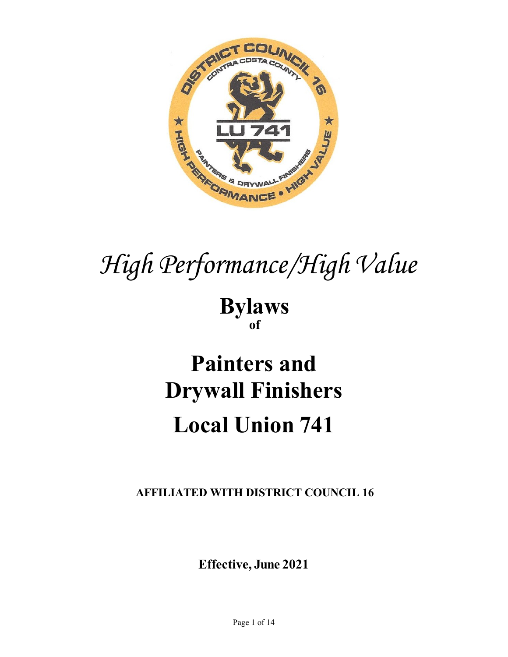

# *High Performance/High Value*

**Bylaws of**

## **Painters and Drywall Finishers Local Union 741**

**AFFILIATED WITH DISTRICT COUNCIL 16**

**Effective, June 2021**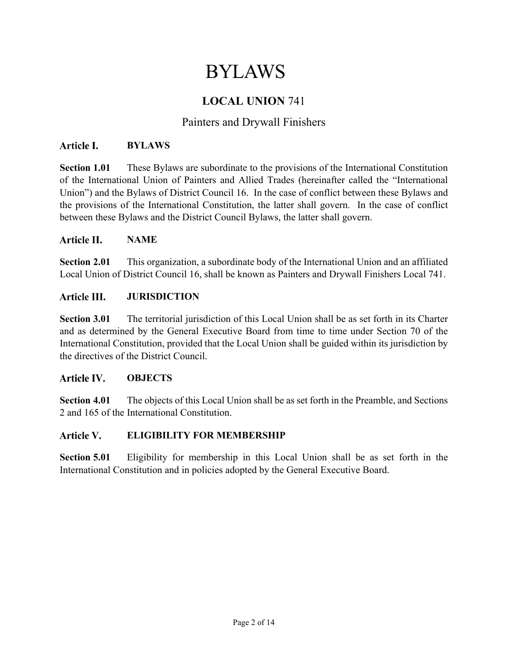## BYLAWS

## **LOCAL UNION** 741

## Painters and Drywall Finishers

#### Article L. **BYLAWS**

**Section 1.01** These Bylaws are subordinate to the provisions of the International Constitution of the International Union of Painters and Allied Trades (hereinafter called the "International Union") and the Bylaws of District Council 16. In the case of conflict between these Bylaws and the provisions of the International Constitution, the latter shall govern. In the case of conflict between these Bylaws and the District Council Bylaws, the latter shall govern.

#### Article II. **NAME**

**Section 2.01** This organization, a subordinate body of the International Union and an affiliated Local Union of District Council 16, shall be known as Painters and Drywall Finishers Local 741.

#### Article III. **JURISDICTION**

**Section 3.01** The territorial jurisdiction of this Local Union shall be as set forth in its Charter and as determined by the General Executive Board from time to time under Section 70 of the International Constitution, provided that the Local Union shall be guided within its jurisdiction by the directives of the District Council.

#### Article IV. **OBJECTS**

**Section 4.01** The objects of this Local Union shall be as set forth in the Preamble, and Sections 2 and 165 of the International Constitution.

#### Article V. **ELIGIBILITY FOR MEMBERSHIP**

**Section 5.01** Eligibility for membership in this Local Union shall be as set forth in the International Constitution and in policies adopted by the General Executive Board.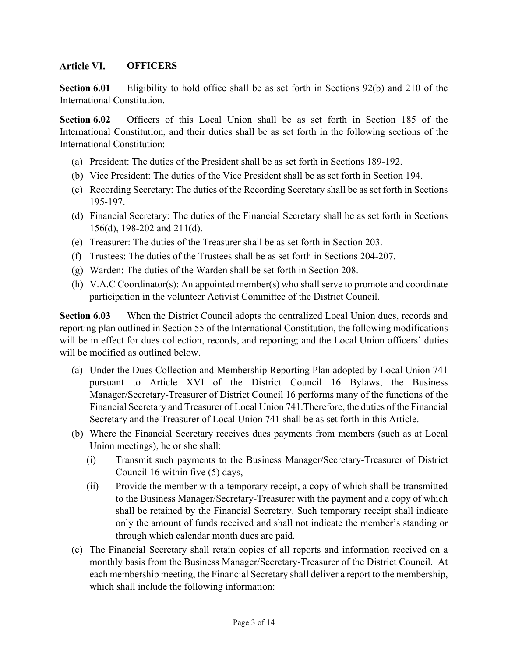#### Article VI. **OFFICERS**

**Section 6.01** Eligibility to hold office shall be as set forth in Sections 92(b) and 210 of the International Constitution.

**Section 6.02** Officers of this Local Union shall be as set forth in Section 185 of the International Constitution, and their duties shall be as set forth in the following sections of the International Constitution:

- (a) President: The duties of the President shall be as set forth in Sections 189-192.
- (b) Vice President: The duties of the Vice President shall be as set forth in Section 194.
- (c) Recording Secretary: The duties of the Recording Secretary shall be as set forth in Sections 195-197.
- (d) Financial Secretary: The duties of the Financial Secretary shall be as set forth in Sections 156(d), 198-202 and 211(d).
- (e) Treasurer: The duties of the Treasurer shall be as set forth in Section 203.
- (f) Trustees: The duties of the Trustees shall be as set forth in Sections 204-207.
- (g) Warden: The duties of the Warden shall be set forth in Section 208.
- (h) V.A.C Coordinator(s): An appointed member(s) who shall serve to promote and coordinate participation in the volunteer Activist Committee of the District Council.

**Section 6.03** When the District Council adopts the centralized Local Union dues, records and reporting plan outlined in Section 55 of the International Constitution, the following modifications will be in effect for dues collection, records, and reporting; and the Local Union officers' duties will be modified as outlined below.

- (a) Under the Dues Collection and Membership Reporting Plan adopted by Local Union 741 pursuant to Article XVI of the District Council 16 Bylaws, the Business Manager/Secretary-Treasurer of District Council 16 performs many of the functions of the Financial Secretary and Treasurer of Local Union 741.Therefore, the duties of the Financial Secretary and the Treasurer of Local Union 741 shall be as set forth in this Article.
- (b) Where the Financial Secretary receives dues payments from members (such as at Local Union meetings), he or she shall:
	- (i) Transmit such payments to the Business Manager/Secretary-Treasurer of District Council 16 within five (5) days,
	- (ii) Provide the member with a temporary receipt, a copy of which shall be transmitted to the Business Manager/Secretary-Treasurer with the payment and a copy of which shall be retained by the Financial Secretary. Such temporary receipt shall indicate only the amount of funds received and shall not indicate the member's standing or through which calendar month dues are paid.
- (c) The Financial Secretary shall retain copies of all reports and information received on a monthly basis from the Business Manager/Secretary-Treasurer of the District Council. At each membership meeting, the Financial Secretary shall deliver a report to the membership, which shall include the following information: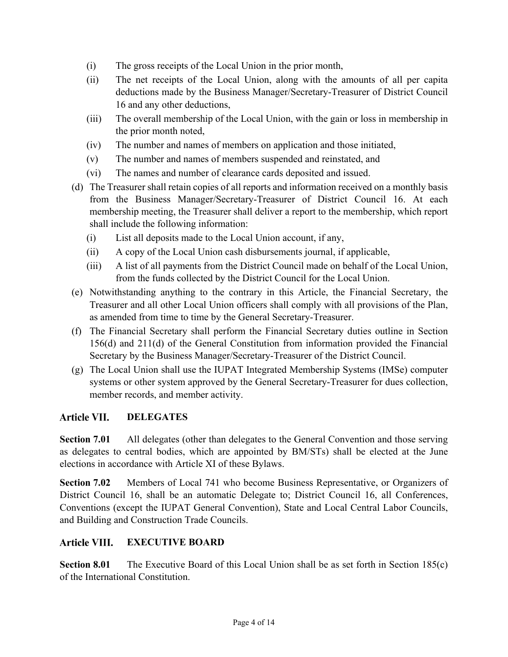- (i) The gross receipts of the Local Union in the prior month,
- (ii) The net receipts of the Local Union, along with the amounts of all per capita deductions made by the Business Manager/Secretary-Treasurer of District Council 16 and any other deductions,
- (iii) The overall membership of the Local Union, with the gain or loss in membership in the prior month noted,
- (iv) The number and names of members on application and those initiated,
- (v) The number and names of members suspended and reinstated, and
- (vi) The names and number of clearance cards deposited and issued.
- (d) The Treasurer shall retain copies of all reports and information received on a monthly basis from the Business Manager/Secretary-Treasurer of District Council 16. At each membership meeting, the Treasurer shall deliver a report to the membership, which report shall include the following information:
	- (i) List all deposits made to the Local Union account, if any,
	- (ii) A copy of the Local Union cash disbursements journal, if applicable,
	- (iii) A list of all payments from the District Council made on behalf of the Local Union, from the funds collected by the District Council for the Local Union.
- (e) Notwithstanding anything to the contrary in this Article, the Financial Secretary, the Treasurer and all other Local Union officers shall comply with all provisions of the Plan, as amended from time to time by the General Secretary-Treasurer.
- (f) The Financial Secretary shall perform the Financial Secretary duties outline in Section 156(d) and 211(d) of the General Constitution from information provided the Financial Secretary by the Business Manager/Secretary-Treasurer of the District Council.
- (g) The Local Union shall use the IUPAT Integrated Membership Systems (IMSe) computer systems or other system approved by the General Secretary-Treasurer for dues collection, member records, and member activity.

## Article VII. **DELEGATES**

**Section 7.01** All delegates (other than delegates to the General Convention and those serving as delegates to central bodies, which are appointed by BM/STs) shall be elected at the June elections in accordance with Article XI of these Bylaws.

**Section 7.02** Members of Local 741 who become Business Representative, or Organizers of District Council 16, shall be an automatic Delegate to; District Council 16, all Conferences, Conventions (except the IUPAT General Convention), State and Local Central Labor Councils, and Building and Construction Trade Councils.

#### **Article VIII. EXECUTIVE BOARD**

**Section 8.01** The Executive Board of this Local Union shall be as set forth in Section 185(c) of the International Constitution.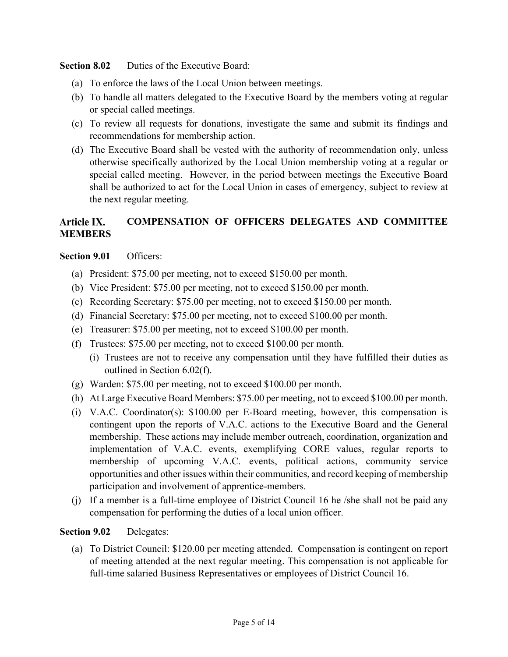**Section 8.02** Duties of the Executive Board:

- (a) To enforce the laws of the Local Union between meetings.
- (b) To handle all matters delegated to the Executive Board by the members voting at regular or special called meetings.
- (c) To review all requests for donations, investigate the same and submit its findings and recommendations for membership action.
- (d) The Executive Board shall be vested with the authority of recommendation only, unless otherwise specifically authorized by the Local Union membership voting at a regular or special called meeting. However, in the period between meetings the Executive Board shall be authorized to act for the Local Union in cases of emergency, subject to review at the next regular meeting.

## Article IX. **COMPENSATION OF OFFICERS DELEGATES AND COMMITTEE MEMBERS**

## **Section 9.01** Officers:

- (a) President: \$75.00 per meeting, not to exceed \$150.00 per month.
- (b) Vice President: \$75.00 per meeting, not to exceed \$150.00 per month.
- (c) Recording Secretary: \$75.00 per meeting, not to exceed \$150.00 per month.
- (d) Financial Secretary: \$75.00 per meeting, not to exceed \$100.00 per month.
- (e) Treasurer: \$75.00 per meeting, not to exceed \$100.00 per month.
- (f) Trustees: \$75.00 per meeting, not to exceed \$100.00 per month.
	- (i) Trustees are not to receive any compensation until they have fulfilled their duties as outlined in Section 6.02(f).
- (g) Warden: \$75.00 per meeting, not to exceed \$100.00 per month.
- (h) At Large Executive Board Members: \$75.00 per meeting, not to exceed \$100.00 per month.
- (i) V.A.C. Coordinator(s): \$100.00 per E-Board meeting, however, this compensation is contingent upon the reports of V.A.C. actions to the Executive Board and the General membership. These actions may include member outreach, coordination, organization and implementation of V.A.C. events, exemplifying CORE values, regular reports to membership of upcoming V.A.C. events, political actions, community service opportunities and other issues within their communities, and record keeping of membership participation and involvement of apprentice-members.
- (j) If a member is a full-time employee of District Council 16 he /she shall not be paid any compensation for performing the duties of a local union officer.

## **Section 9.02** Delegates:

(a) To District Council: \$120.00 per meeting attended. Compensation is contingent on report of meeting attended at the next regular meeting. This compensation is not applicable for full-time salaried Business Representatives or employees of District Council 16.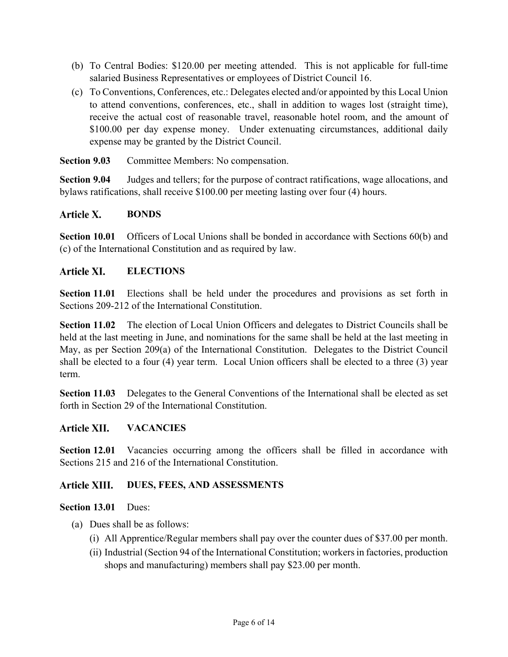- (b) To Central Bodies: \$120.00 per meeting attended. This is not applicable for full-time salaried Business Representatives or employees of District Council 16.
- (c) To Conventions, Conferences, etc.: Delegates elected and/or appointed by this Local Union to attend conventions, conferences, etc., shall in addition to wages lost (straight time), receive the actual cost of reasonable travel, reasonable hotel room, and the amount of \$100.00 per day expense money. Under extenuating circumstances, additional daily expense may be granted by the District Council.

**Section 9.03** Committee Members: No compensation.

**Section 9.04** Judges and tellers; for the purpose of contract ratifications, wage allocations, and bylaws ratifications, shall receive \$100.00 per meeting lasting over four (4) hours.

#### Article X. **BONDS**

**Section 10.01** Officers of Local Unions shall be bonded in accordance with Sections 60(b) and (c) of the International Constitution and as required by law.

#### Article XI. **ELECTIONS**

**Section 11.01** Elections shall be held under the procedures and provisions as set forth in Sections 209-212 of the International Constitution.

**Section 11.02** The election of Local Union Officers and delegates to District Councils shall be held at the last meeting in June, and nominations for the same shall be held at the last meeting in May, as per Section 209(a) of the International Constitution. Delegates to the District Council shall be elected to a four (4) year term. Local Union officers shall be elected to a three (3) year term.

**Section 11.03** Delegates to the General Conventions of the International shall be elected as set forth in Section 29 of the International Constitution.

#### Article XII. **VACANCIES**

**Section 12.01** Vacancies occurring among the officers shall be filled in accordance with Sections 215 and 216 of the International Constitution.

#### Article XIII. **DUES, FEES, AND ASSESSMENTS**

## **Section 13.01** Dues:

- (a) Dues shall be as follows:
	- (i) All Apprentice/Regular members shall pay over the counter dues of \$37.00 per month.
	- (ii) Industrial (Section 94 of the International Constitution; workers in factories, production shops and manufacturing) members shall pay \$23.00 per month.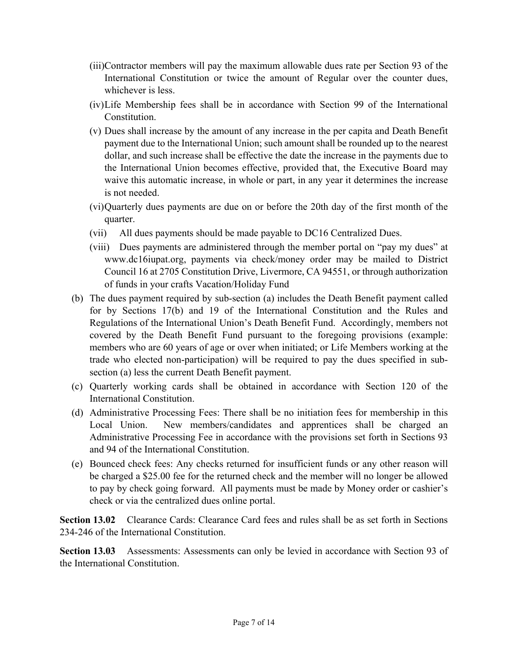- (iii)Contractor members will pay the maximum allowable dues rate per Section 93 of the International Constitution or twice the amount of Regular over the counter dues, whichever is less.
- (iv)Life Membership fees shall be in accordance with Section 99 of the International Constitution.
- (v) Dues shall increase by the amount of any increase in the per capita and Death Benefit payment due to the International Union; such amount shall be rounded up to the nearest dollar, and such increase shall be effective the date the increase in the payments due to the International Union becomes effective, provided that, the Executive Board may waive this automatic increase, in whole or part, in any year it determines the increase is not needed.
- (vi)Quarterly dues payments are due on or before the 20th day of the first month of the quarter.
- (vii) All dues payments should be made payable to DC16 Centralized Dues.
- (viii) Dues payments are administered through the member portal on "pay my dues" at www.dc16iupat.org, payments via check/money order may be mailed to District Council 16 at 2705 Constitution Drive, Livermore, CA 94551, or through authorization of funds in your crafts Vacation/Holiday Fund
- (b) The dues payment required by sub-section (a) includes the Death Benefit payment called for by Sections 17(b) and 19 of the International Constitution and the Rules and Regulations of the International Union's Death Benefit Fund. Accordingly, members not covered by the Death Benefit Fund pursuant to the foregoing provisions (example: members who are 60 years of age or over when initiated; or Life Members working at the trade who elected non-participation) will be required to pay the dues specified in subsection (a) less the current Death Benefit payment.
- (c) Quarterly working cards shall be obtained in accordance with Section 120 of the International Constitution.
- (d) Administrative Processing Fees: There shall be no initiation fees for membership in this Local Union. New members/candidates and apprentices shall be charged an Administrative Processing Fee in accordance with the provisions set forth in Sections 93 and 94 of the International Constitution.
- (e) Bounced check fees: Any checks returned for insufficient funds or any other reason will be charged a \$25.00 fee for the returned check and the member will no longer be allowed to pay by check going forward. All payments must be made by Money order or cashier's check or via the centralized dues online portal.

**Section 13.02** Clearance Cards: Clearance Card fees and rules shall be as set forth in Sections 234-246 of the International Constitution.

**Section 13.03** Assessments: Assessments can only be levied in accordance with Section 93 of the International Constitution.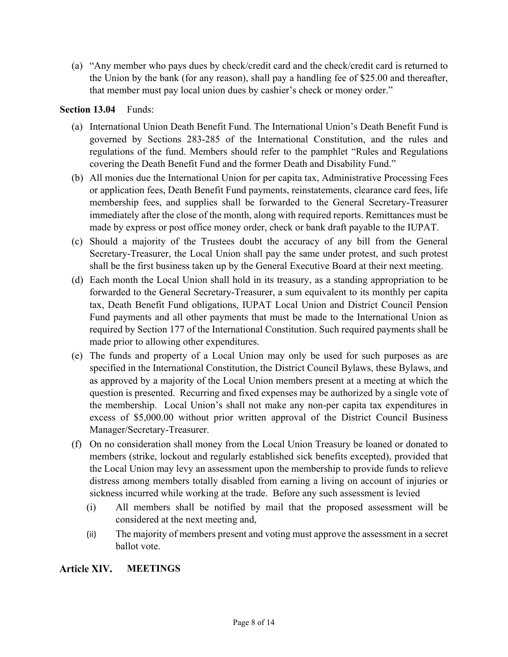(a) "Any member who pays dues by check/credit card and the check/credit card is returned to the Union by the bank (for any reason), shall pay a handling fee of \$25.00 and thereafter, that member must pay local union dues by cashier's check or money order."

## **Section 13.04** Funds:

- (a) International Union Death Benefit Fund. The International Union's Death Benefit Fund is governed by Sections 283-285 of the International Constitution, and the rules and regulations of the fund. Members should refer to the pamphlet "Rules and Regulations covering the Death Benefit Fund and the former Death and Disability Fund."
- (b) All monies due the International Union for per capita tax, Administrative Processing Fees or application fees, Death Benefit Fund payments, reinstatements, clearance card fees, life membership fees, and supplies shall be forwarded to the General Secretary-Treasurer immediately after the close of the month, along with required reports. Remittances must be made by express or post office money order, check or bank draft payable to the IUPAT.
- (c) Should a majority of the Trustees doubt the accuracy of any bill from the General Secretary-Treasurer, the Local Union shall pay the same under protest, and such protest shall be the first business taken up by the General Executive Board at their next meeting.
- (d) Each month the Local Union shall hold in its treasury, as a standing appropriation to be forwarded to the General Secretary-Treasurer, a sum equivalent to its monthly per capita tax, Death Benefit Fund obligations, IUPAT Local Union and District Council Pension Fund payments and all other payments that must be made to the International Union as required by Section 177 of the International Constitution. Such required payments shall be made prior to allowing other expenditures.
- (e) The funds and property of a Local Union may only be used for such purposes as are specified in the International Constitution, the District Council Bylaws, these Bylaws, and as approved by a majority of the Local Union members present at a meeting at which the question is presented. Recurring and fixed expenses may be authorized by a single vote of the membership. Local Union's shall not make any non-per capita tax expenditures in excess of \$5,000.00 without prior written approval of the District Council Business Manager/Secretary-Treasurer.
- (f) On no consideration shall money from the Local Union Treasury be loaned or donated to members (strike, lockout and regularly established sick benefits excepted), provided that the Local Union may levy an assessment upon the membership to provide funds to relieve distress among members totally disabled from earning a living on account of injuries or sickness incurred while working at the trade. Before any such assessment is levied
	- (i) All members shall be notified by mail that the proposed assessment will be considered at the next meeting and,
	- (ii) The majority of members present and voting must approve the assessment in a secret ballot vote.

#### Article XIV. **MEETINGS**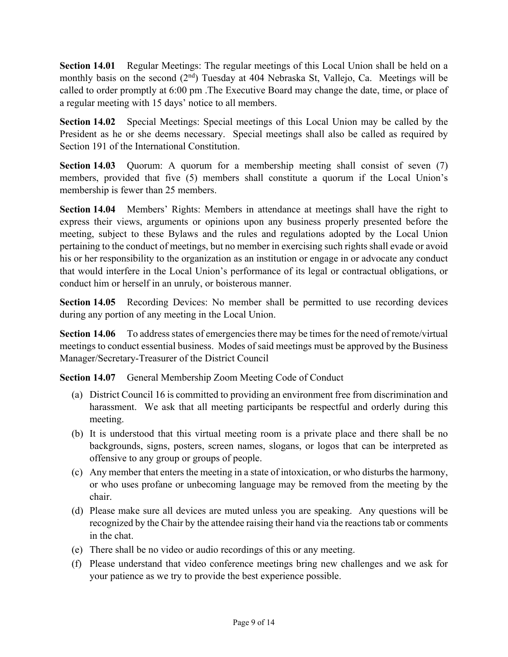**Section 14.01** Regular Meetings: The regular meetings of this Local Union shall be held on a monthly basis on the second  $(2<sup>nd</sup>)$  Tuesday at 404 Nebraska St, Vallejo, Ca. Meetings will be called to order promptly at 6:00 pm .The Executive Board may change the date, time, or place of a regular meeting with 15 days' notice to all members.

**Section 14.02** Special Meetings: Special meetings of this Local Union may be called by the President as he or she deems necessary. Special meetings shall also be called as required by Section 191 of the International Constitution.

**Section 14.03** Quorum: A quorum for a membership meeting shall consist of seven (7) members, provided that five (5) members shall constitute a quorum if the Local Union's membership is fewer than 25 members.

**Section 14.04** Members' Rights: Members in attendance at meetings shall have the right to express their views, arguments or opinions upon any business properly presented before the meeting, subject to these Bylaws and the rules and regulations adopted by the Local Union pertaining to the conduct of meetings, but no member in exercising such rights shall evade or avoid his or her responsibility to the organization as an institution or engage in or advocate any conduct that would interfere in the Local Union's performance of its legal or contractual obligations, or conduct him or herself in an unruly, or boisterous manner.

**Section 14.05** Recording Devices: No member shall be permitted to use recording devices during any portion of any meeting in the Local Union.

**Section 14.06** To address states of emergencies there may be times for the need of remote/virtual meetings to conduct essential business. Modes of said meetings must be approved by the Business Manager/Secretary-Treasurer of the District Council

**Section 14.07** General Membership Zoom Meeting Code of Conduct

- (a) District Council 16 is committed to providing an environment free from discrimination and harassment. We ask that all meeting participants be respectful and orderly during this meeting.
- (b) It is understood that this virtual meeting room is a private place and there shall be no backgrounds, signs, posters, screen names, slogans, or logos that can be interpreted as offensive to any group or groups of people.
- (c) Any member that enters the meeting in a state of intoxication, or who disturbs the harmony, or who uses profane or unbecoming language may be removed from the meeting by the chair.
- (d) Please make sure all devices are muted unless you are speaking. Any questions will be recognized by the Chair by the attendee raising their hand via the reactions tab or comments in the chat.
- (e) There shall be no video or audio recordings of this or any meeting.
- (f) Please understand that video conference meetings bring new challenges and we ask for your patience as we try to provide the best experience possible.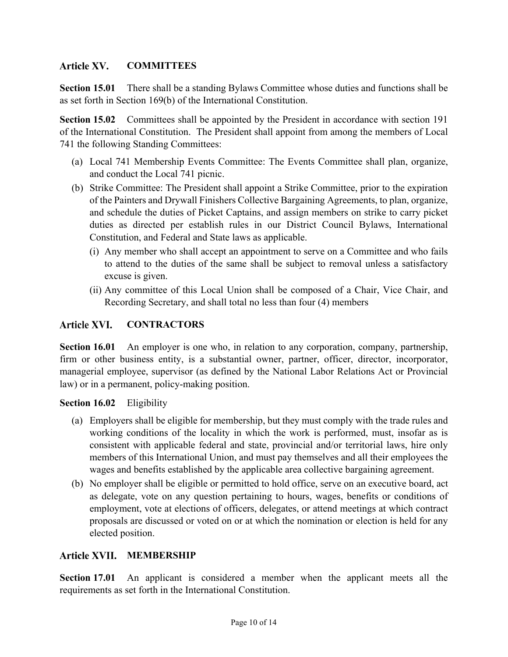## Article XV. **COMMITTEES**

**Section 15.01** There shall be a standing Bylaws Committee whose duties and functions shall be as set forth in Section 169(b) of the International Constitution.

**Section 15.02** Committees shall be appointed by the President in accordance with section 191 of the International Constitution. The President shall appoint from among the members of Local 741 the following Standing Committees:

- (a) Local 741 Membership Events Committee: The Events Committee shall plan, organize, and conduct the Local 741 picnic.
- (b) Strike Committee: The President shall appoint a Strike Committee, prior to the expiration of the Painters and Drywall Finishers Collective Bargaining Agreements, to plan, organize, and schedule the duties of Picket Captains, and assign members on strike to carry picket duties as directed per establish rules in our District Council Bylaws, International Constitution, and Federal and State laws as applicable.
	- (i) Any member who shall accept an appointment to serve on a Committee and who fails to attend to the duties of the same shall be subject to removal unless a satisfactory excuse is given.
	- (ii) Any committee of this Local Union shall be composed of a Chair, Vice Chair, and Recording Secretary, and shall total no less than four (4) members

## Article XVI. **CONTRACTORS**

**Section 16.01** An employer is one who, in relation to any corporation, company, partnership, firm or other business entity, is a substantial owner, partner, officer, director, incorporator, managerial employee, supervisor (as defined by the National Labor Relations Act or Provincial law) or in a permanent, policy-making position.

## **Section 16.02** Eligibility

- (a) Employers shall be eligible for membership, but they must comply with the trade rules and working conditions of the locality in which the work is performed, must, insofar as is consistent with applicable federal and state, provincial and/or territorial laws, hire only members of this International Union, and must pay themselves and all their employees the wages and benefits established by the applicable area collective bargaining agreement.
- (b) No employer shall be eligible or permitted to hold office, serve on an executive board, act as delegate, vote on any question pertaining to hours, wages, benefits or conditions of employment, vote at elections of officers, delegates, or attend meetings at which contract proposals are discussed or voted on or at which the nomination or election is held for any elected position.

## Article XVII. MEMBERSHIP

**Section 17.01** An applicant is considered a member when the applicant meets all the requirements as set forth in the International Constitution.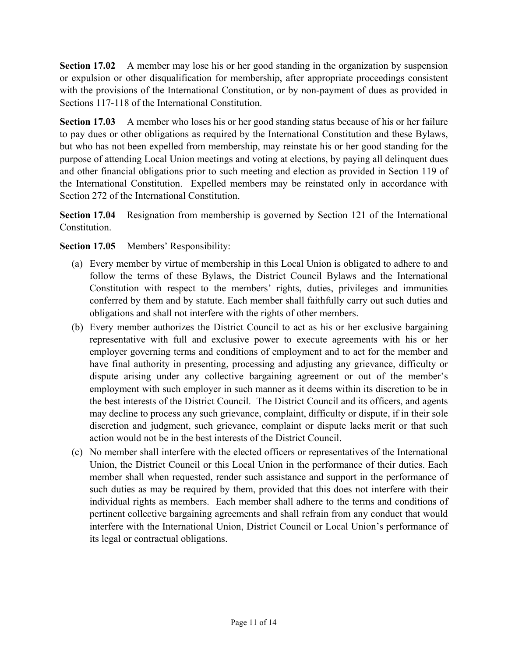**Section 17.02** A member may lose his or her good standing in the organization by suspension or expulsion or other disqualification for membership, after appropriate proceedings consistent with the provisions of the International Constitution, or by non-payment of dues as provided in Sections 117-118 of the International Constitution.

**Section 17.03** A member who loses his or her good standing status because of his or her failure to pay dues or other obligations as required by the International Constitution and these Bylaws, but who has not been expelled from membership, may reinstate his or her good standing for the purpose of attending Local Union meetings and voting at elections, by paying all delinquent dues and other financial obligations prior to such meeting and election as provided in Section 119 of the International Constitution. Expelled members may be reinstated only in accordance with Section 272 of the International Constitution.

**Section 17.04** Resignation from membership is governed by Section 121 of the International Constitution.

## **Section 17.05** Members' Responsibility:

- (a) Every member by virtue of membership in this Local Union is obligated to adhere to and follow the terms of these Bylaws, the District Council Bylaws and the International Constitution with respect to the members' rights, duties, privileges and immunities conferred by them and by statute. Each member shall faithfully carry out such duties and obligations and shall not interfere with the rights of other members.
- (b) Every member authorizes the District Council to act as his or her exclusive bargaining representative with full and exclusive power to execute agreements with his or her employer governing terms and conditions of employment and to act for the member and have final authority in presenting, processing and adjusting any grievance, difficulty or dispute arising under any collective bargaining agreement or out of the member's employment with such employer in such manner as it deems within its discretion to be in the best interests of the District Council. The District Council and its officers, and agents may decline to process any such grievance, complaint, difficulty or dispute, if in their sole discretion and judgment, such grievance, complaint or dispute lacks merit or that such action would not be in the best interests of the District Council.
- (c) No member shall interfere with the elected officers or representatives of the International Union, the District Council or this Local Union in the performance of their duties. Each member shall when requested, render such assistance and support in the performance of such duties as may be required by them, provided that this does not interfere with their individual rights as members. Each member shall adhere to the terms and conditions of pertinent collective bargaining agreements and shall refrain from any conduct that would interfere with the International Union, District Council or Local Union's performance of its legal or contractual obligations.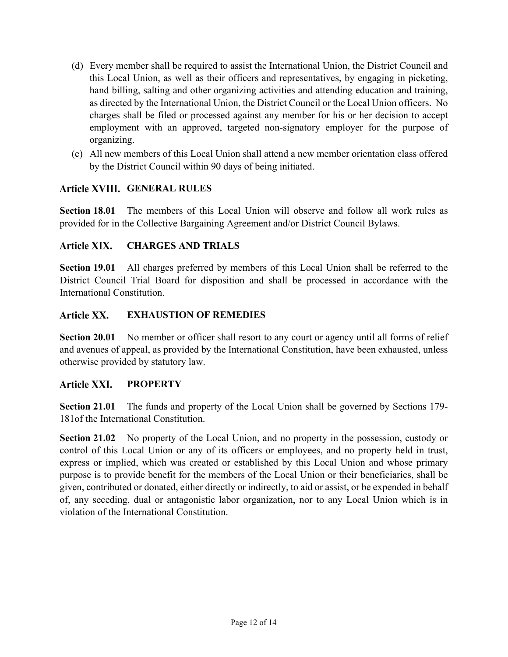- (d) Every member shall be required to assist the International Union, the District Council and this Local Union, as well as their officers and representatives, by engaging in picketing, hand billing, salting and other organizing activities and attending education and training, as directed by the International Union, the District Council or the Local Union officers. No charges shall be filed or processed against any member for his or her decision to accept employment with an approved, targeted non-signatory employer for the purpose of organizing.
- (e) All new members of this Local Union shall attend a new member orientation class offered by the District Council within 90 days of being initiated.

## **GENERAL RULES**

**Section 18.01** The members of this Local Union will observe and follow all work rules as provided for in the Collective Bargaining Agreement and/or District Council Bylaws.

#### Article XIX. **CHARGES AND TRIALS**

**Section 19.01** All charges preferred by members of this Local Union shall be referred to the District Council Trial Board for disposition and shall be processed in accordance with the International Constitution.

#### Article XX. **EXHAUSTION OF REMEDIES**

**Section 20.01** No member or officer shall resort to any court or agency until all forms of relief and avenues of appeal, as provided by the International Constitution, have been exhausted, unless otherwise provided by statutory law.

#### Article XXI. **PROPERTY**

**Section 21.01** The funds and property of the Local Union shall be governed by Sections 179- 181of the International Constitution.

**Section 21.02** No property of the Local Union, and no property in the possession, custody or control of this Local Union or any of its officers or employees, and no property held in trust, express or implied, which was created or established by this Local Union and whose primary purpose is to provide benefit for the members of the Local Union or their beneficiaries, shall be given, contributed or donated, either directly or indirectly, to aid or assist, or be expended in behalf of, any seceding, dual or antagonistic labor organization, nor to any Local Union which is in violation of the International Constitution.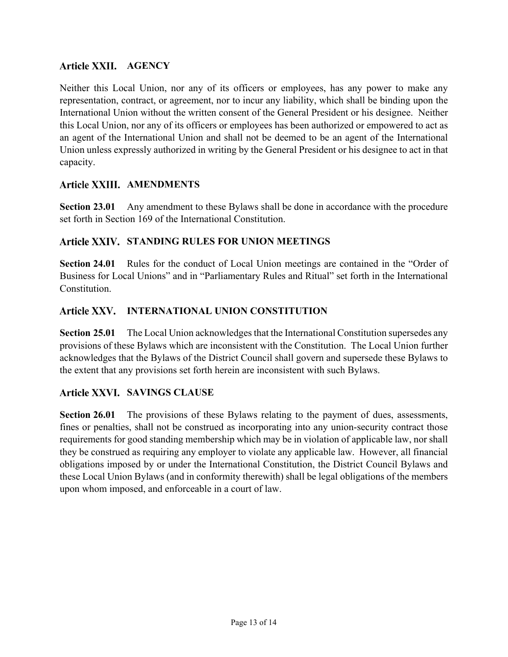## **Article XXII. AGENCY**

Neither this Local Union, nor any of its officers or employees, has any power to make any representation, contract, or agreement, nor to incur any liability, which shall be binding upon the International Union without the written consent of the General President or his designee. Neither this Local Union, nor any of its officers or employees has been authorized or empowered to act as an agent of the International Union and shall not be deemed to be an agent of the International Union unless expressly authorized in writing by the General President or his designee to act in that capacity.

## **Article XXIII. AMENDMENTS**

**Section 23.01** Any amendment to these Bylaws shall be done in accordance with the procedure set forth in Section 169 of the International Constitution.

## Article XXIV. STANDING RULES FOR UNION MEETINGS

**Section 24.01** Rules for the conduct of Local Union meetings are contained in the "Order of Business for Local Unions" and in "Parliamentary Rules and Ritual" set forth in the International Constitution.

## Article XXV. INTERNATIONAL UNION CONSTITUTION

**Section 25.01** The Local Union acknowledges that the International Constitution supersedes any provisions of these Bylaws which are inconsistent with the Constitution. The Local Union further acknowledges that the Bylaws of the District Council shall govern and supersede these Bylaws to the extent that any provisions set forth herein are inconsistent with such Bylaws.

## **SAVINGS CLAUSE**

**Section 26.01** The provisions of these Bylaws relating to the payment of dues, assessments, fines or penalties, shall not be construed as incorporating into any union-security contract those requirements for good standing membership which may be in violation of applicable law, nor shall they be construed as requiring any employer to violate any applicable law. However, all financial obligations imposed by or under the International Constitution, the District Council Bylaws and these Local Union Bylaws (and in conformity therewith) shall be legal obligations of the members upon whom imposed, and enforceable in a court of law.